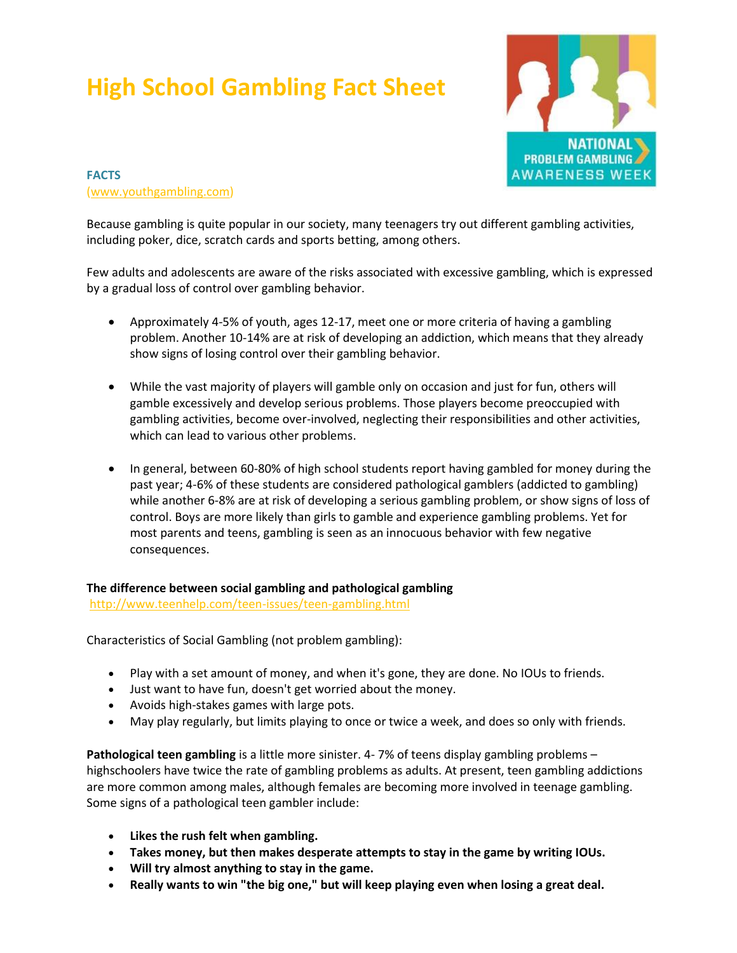## **High School Gambling Fact Sheet**



**FACTS** [\(www.youthgambling.com\)](http://www.youthgambling.com/)

Because gambling is quite popular in our society, many teenagers try out different gambling activities, including poker, dice, scratch cards and sports betting, among others.

Few adults and adolescents are aware of the risks associated with excessive gambling, which is expressed by a gradual loss of control over gambling behavior.

- Approximately 4-5% of youth, ages 12-17, meet one or more criteria of having a gambling problem. Another 10-14% are at risk of developing an addiction, which means that they already show signs of losing control over their gambling behavior.
- While the vast majority of players will gamble only on occasion and just for fun, others will gamble excessively and develop serious problems. Those players become preoccupied with gambling activities, become over-involved, neglecting their responsibilities and other activities, which can lead to various other problems.
- In general, between 60-80% of high school students report having gambled for money during the past year; 4-6% of these students are considered pathological gamblers (addicted to gambling) while another 6-8% are at risk of developing a serious gambling problem, or show signs of loss of control. Boys are more likely than girls to gamble and experience gambling problems. Yet for most parents and teens, gambling is seen as an innocuous behavior with few negative consequences.

**The difference between social gambling and pathological gambling**

<http://www.teenhelp.com/teen-issues/teen-gambling.html>

Characteristics of Social Gambling (not problem gambling):

- Play with a set amount of money, and when it's gone, they are done. No IOUs to friends.
- Just want to have fun, doesn't get worried about the money.
- Avoids high-stakes games with large pots.
- May play regularly, but limits playing to once or twice a week, and does so only with friends.

**Pathological teen gambling** is a little more sinister. 4- 7% of teens display gambling problems – highschoolers have twice the rate of gambling problems as adults. At present, teen gambling addictions are more common among males, although females are becoming more involved in teenage gambling. Some signs of a pathological teen gambler include:

- **Likes the rush felt when gambling.**
- **Takes money, but then makes desperate attempts to stay in the game by writing IOUs.**
- **Will try almost anything to stay in the game.**
- **Really wants to win "the big one," but will keep playing even when losing a great deal.**